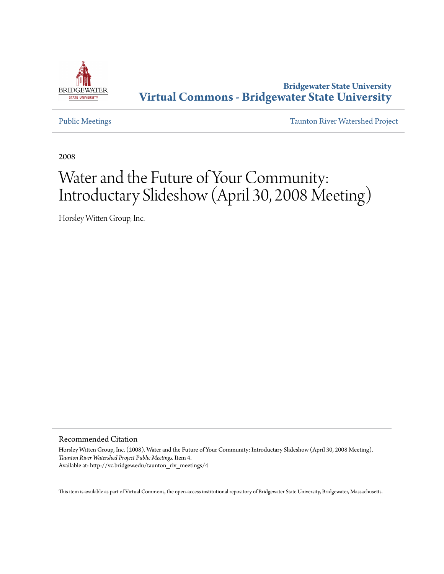

#### **Bridgewater State University [Virtual Commons - Bridgewater State University](http://vc.bridgew.edu)**

[Public Meetings](http://vc.bridgew.edu/taunton_riv_meetings) [Taunton River Watershed Project](http://vc.bridgew.edu/taunton_riv)

2008

#### Water and the Future of Your Community: Introductary Slideshow (April 30, 2008 Meeting)

Horsley Witten Group, Inc.

#### Recommended Citation

Horsley Witten Group, Inc. (2008). Water and the Future of Your Community: Introductary Slideshow (April 30, 2008 Meeting). *Taunton River Watershed Project Public Meetings.* Item 4. Available at: http://vc.bridgew.edu/taunton\_riv\_meetings/4

This item is available as part of Virtual Commons, the open-access institutional repository of Bridgewater State University, Bridgewater, Massachusetts.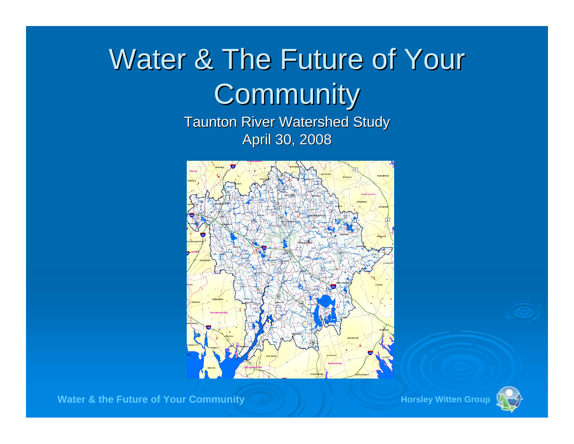# Water & The Future of Your **Community**

**Taunton River Watershed Study** April 30, 2008



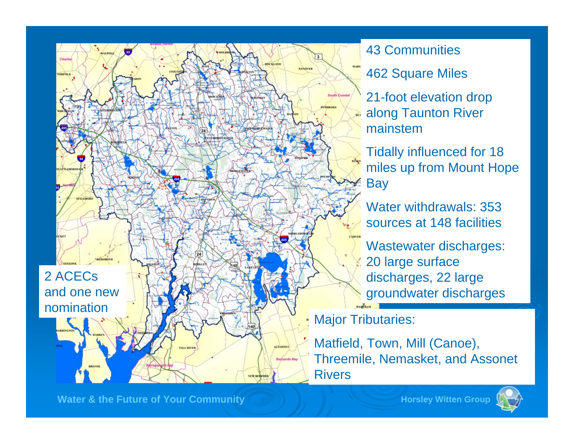

43 Communities

462 Square Miles

21-foot elevation drop along Taunton River mainstem

Tidally influenced for 18 miles up from Mount Hope **Bay** 

Water withdrawals: 353 sources at 148 facilities

Wastewater discharges: 20 large surface discharges, 22 large groundwater discharges

Major Tributaries:

KINGS

Matfield, Town, Mill (Canoe), Threemile, Nemasket, and Assonet Rivers

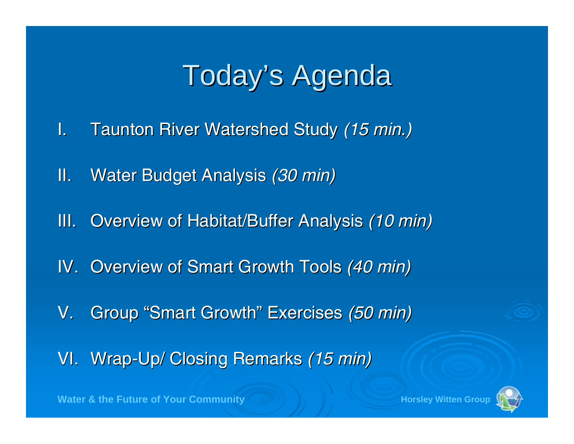### Today's Agenda

- **I.** Taunton River Watershed Study (15 min.)
- II.**Water Budget Analysis** *(30 min)*
- III. Overview of Habitat/Buffer Analysis *(10 min)*
- **IV. Overview of Smart Growth Tools (40 min)**
- V.. Group "Smart Growth " Exercises Exercises *(50 min) (50 min)*
- VI. Wrap-Up/ Closing Remarks *(15 min)*

**Water & the Future of Your Community And Allen Active States Horsley Witten Group** 



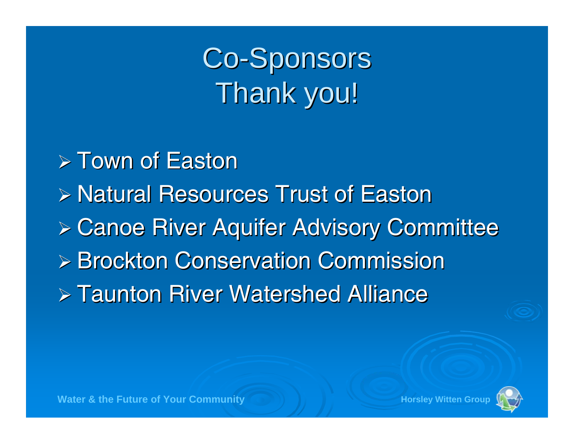## Co-Sponsors Thank you!

 $\triangleright$  Town of Easton ¾ Natural Resources Trust of Easton Natural Resources Trust of Easton $\triangleright$  Canoe River Aquifer Advisory Committee ¾ Brockton Conservation Commission Brockton Conservation Commission  $\triangleright$  Taunton River Watershed Alliance



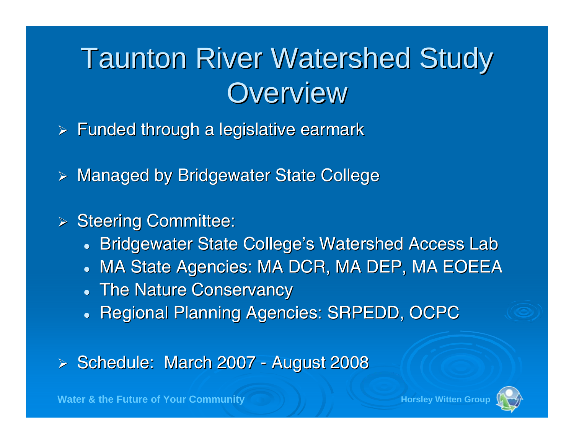### **Taunton River Watershed Study Overview**

- $\triangleright$  Funded through a legislative earmark
- $\triangleright$  Managed by Bridgewater State College
- > Steering Committee:
	- $\bullet$ Bridgewater State College's Watershed Access Lab
	- $\bullet$ MA State Agencies: MA DCR, MA DEP, MA EOEEA
	- The Nature Conservancy
	- Regional Planning Agencies: SRPEDD, OCPC

> Schedule: March 2007 -- August 2008

**Water & the Future of Your Community Crown And All Access Horsley Witten** 

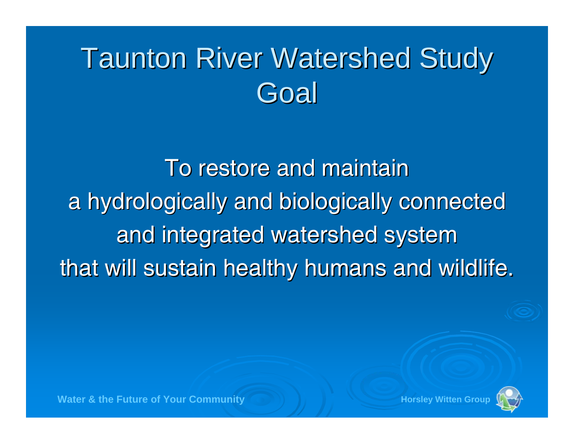## **Taunton River Watershed Study Goal**

To restore and maintain a hydrologically and biologically connected and integrated watershed system that will sustain healthy humans and wildlife.



**Water & the Future of Your Community**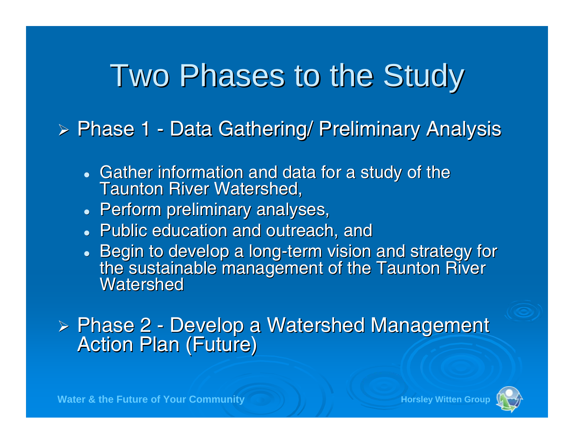## Two Phases to the Study

 $\triangleright$  Phase 1 -- Data Gathering/ Preliminary Analysis

- $\bullet$ • Gather information and data for a study of the<br>Taunton River Watershed,
- $\bullet\,$  Perform preliminary analyses,
- Public education and outreach, and
- Begin to develop a long-term vision and strategy for<br>the sustainable management of the Taunton River<br>Watershed Watershed

 $\triangleright$  Phase 2 -Phase 2 - Develop a Watershed Management<br>Action Plan (Future)



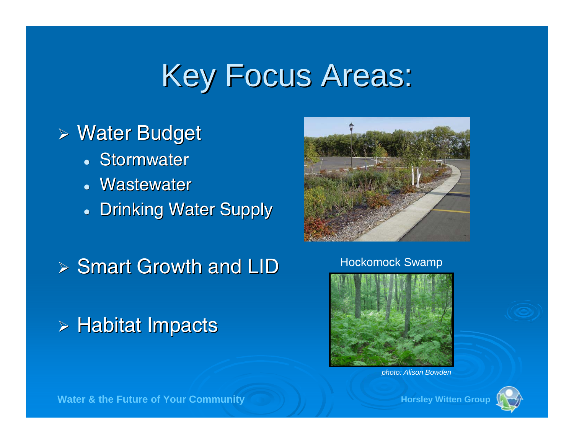## Key Focus Areas:

#### ≻ Water Budget

- Stormwater
- Wastewater
- **Drinking Water Supply**

 $\triangleright$  Smart Growth and LID

#### $\triangleright$  Habitat Impacts



#### Hockomock Swamp



*photo: Alison Bowden*



**Water & the Future of Your Community Community Horsley Witten Group**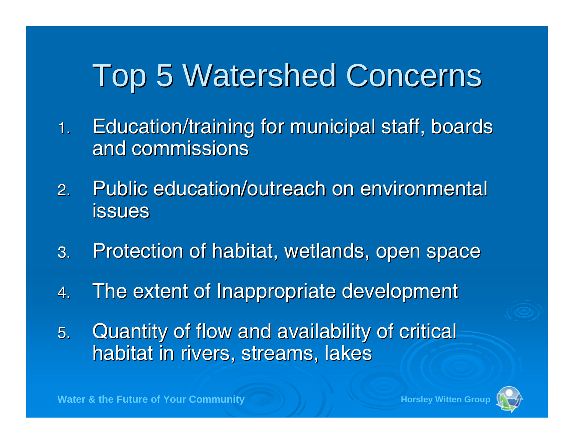## Top 5 Watershed Concerns Top 5 Watershed Concerns

- 1. Education/training for municipal staff, boards Education/training for municipal staff, boards and commissions
- 2.Public education/outreach on environmental issues
- 3. Protection of habitat, wetlands, open space
- 4.The extent of Inappropriate development The extent of Inappropriate development
- 5. Quantity of flow and availability of critical habitat in rivers, streams, lakes

**Water & the Future of Your Community Crown And All Access Horsley Witten**